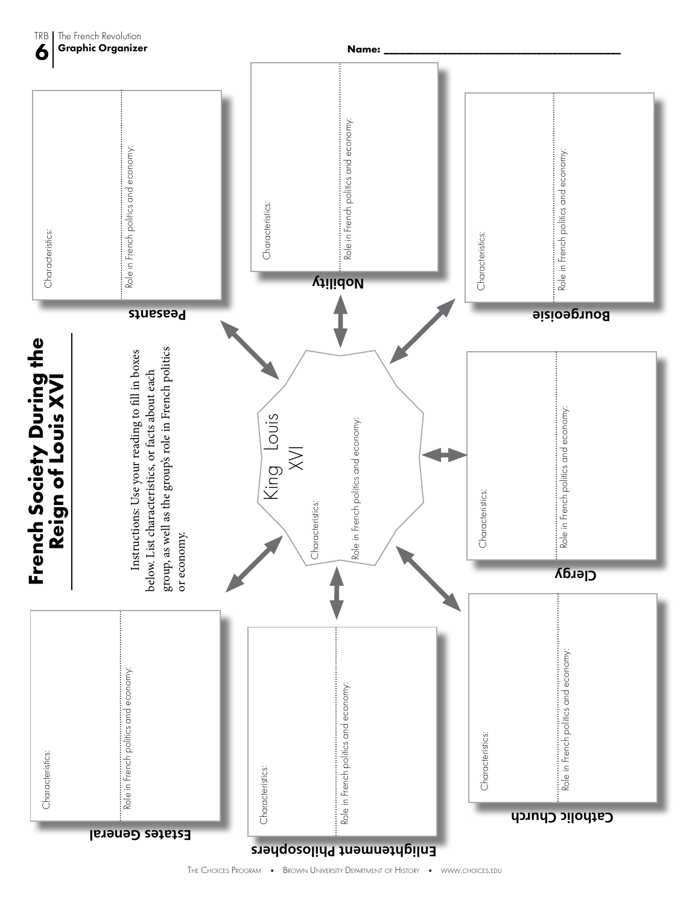

TRB

The French Revolution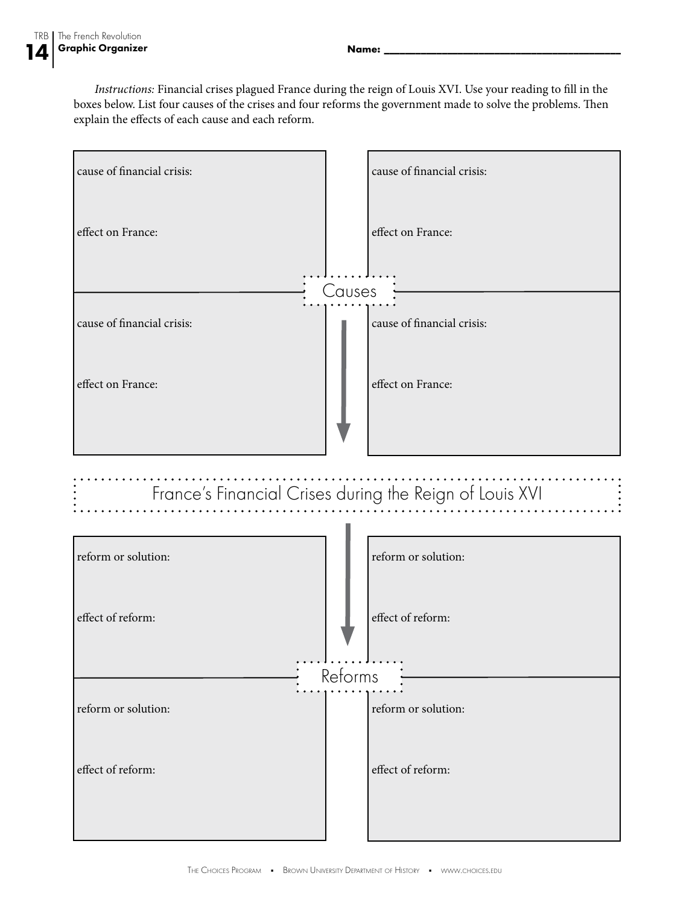*Instructions:* Financial crises plagued France during the reign of Louis XVI. Use your reading to fill in the boxes below. List four causes of the crises and four reforms the government made to solve the problems. Then explain the effects of each cause and each reform.

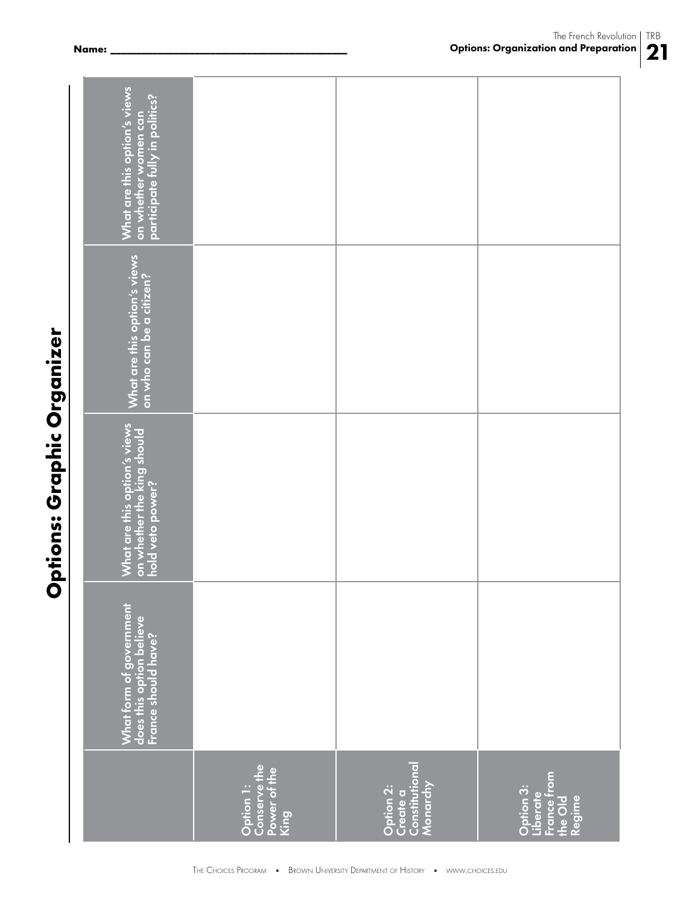| Í<br>č<br>í<br>١<br>i |
|-----------------------|
|                       |
|                       |
|                       |
|                       |
|                       |
|                       |
|                       |
| Į                     |
|                       |
| ť                     |
|                       |
|                       |
|                       |
| ī                     |
|                       |
| ŕ<br>í                |
|                       |
|                       |
|                       |

| What are this option's views<br>on whether women can<br>participate fully in politics? |                                           |                                   |                                                           |
|----------------------------------------------------------------------------------------|-------------------------------------------|-----------------------------------|-----------------------------------------------------------|
|                                                                                        |                                           |                                   |                                                           |
|                                                                                        |                                           |                                   |                                                           |
|                                                                                        |                                           |                                   |                                                           |
| What are this option's views<br>on who can be a citizen?                               |                                           |                                   |                                                           |
|                                                                                        |                                           |                                   |                                                           |
|                                                                                        |                                           |                                   |                                                           |
|                                                                                        |                                           |                                   |                                                           |
| What are this option's views<br>on whether the king should<br>hold veto power?         |                                           |                                   |                                                           |
|                                                                                        |                                           |                                   |                                                           |
|                                                                                        |                                           |                                   |                                                           |
|                                                                                        |                                           |                                   |                                                           |
|                                                                                        |                                           |                                   |                                                           |
|                                                                                        |                                           |                                   |                                                           |
|                                                                                        |                                           |                                   |                                                           |
| What form of government<br>does this option believe<br>France should have?             |                                           |                                   |                                                           |
|                                                                                        |                                           |                                   |                                                           |
|                                                                                        | Option 1:<br>Conserve the<br>Power of the | Constitutional                    |                                                           |
|                                                                                        | King                                      | Monarchy<br>Option 2:<br>Create a | France from<br>the Old<br>Option 3:<br>Liberate<br>Regime |